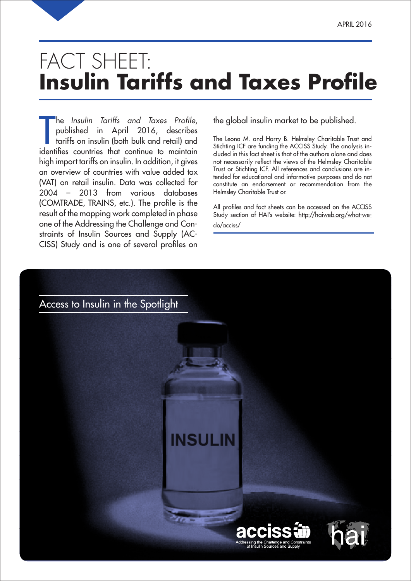# FACT SHEET: **Insulin Tariffs and Taxes Profile**

The *Insulin Tariffs and Taxes Profile,*<br>published in April 2016, describes<br>tariffs on insulin (both bulk and retail) and<br>identifies countries that continue to maintain he Insulin Tariffs and Taxes Profile, published in April 2016, describes tariffs on insulin (both bulk and retail) and high import tariffs on insulin. In addition, it gives an overview of countries with value added tax (VAT) on retail insulin. Data was collected for 2004 – 2013 from various databases (COMTRADE, TRAINS, etc.). The profile is the result of the mapping work completed in phase one of the Addres sing the Challenge and Constraints of Insulin Sources and Supply (AC-CISS) Study and is one of several profiles on

the global insulin market to be published.

The Leona M. and Harry B. Helmsley Charitable Trust and Stichting ICF are funding the ACCISS Study. The analysis included in this fact sheet is that of the authors alone and does not necessarily reflect the views of the Helmsley Charitable Trust or Stichting ICF. All references and conclusions are intended for educational and informative purposes and do not constitute an endorsement or recommendation from the Helmsley Charitable Trust or.

All profiles and fact sheets can be accessed on the ACCISS Study section of HAI's website: http://haiweb.org/what-wedo/acciss/